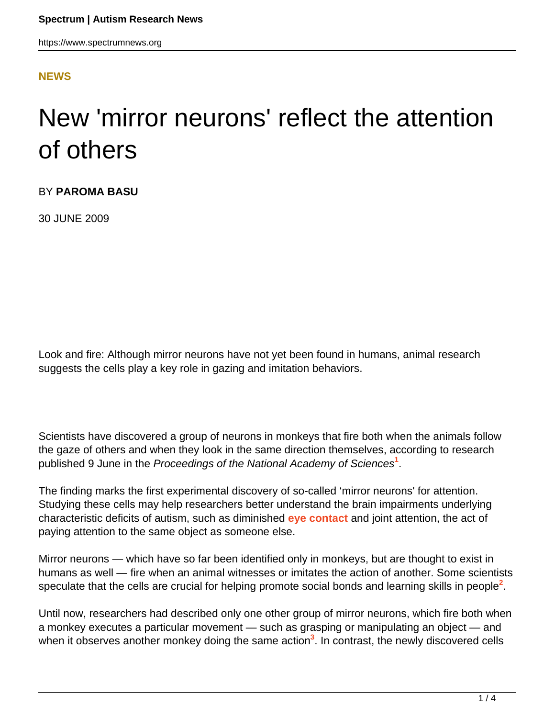#### **[NEWS](HTTPS://WWW.SPECTRUMNEWS.ORG/NEWS/)**

# New 'mirror neurons' reflect the attention of others

BY **PAROMA BASU**

30 JUNE 2009

Look and fire: Although mirror neurons have not yet been found in humans, animal research suggests the cells play a key role in gazing and imitation behaviors.

Scientists have discovered a group of neurons in monkeys that fire both when the animals follow the gaze of others and when they look in the same direction themselves, according to research published 9 June in the Proceedings of the National Academy of Sciences**<sup>1</sup>** .

The finding marks the first experimental discovery of so-called 'mirror neurons' for attention. Studying these cells may help researchers better understand the brain impairments underlying characteristic deficits of autism, such as diminished **[eye contact](https://www.spectrumnews.org/news/2008/eyes-provide-insight-into-autisms-origins)** and joint attention, the act of paying attention to the same object as someone else.

Mirror neurons — which have so far been identified only in monkeys, but are thought to exist in humans as well — fire when an animal witnesses or imitates the action of another. Some scientists speculate that the cells are crucial for helping promote social bonds and learning skills in people<sup>2</sup>.

Until now, researchers had described only one other group of mirror neurons, which fire both when a monkey executes a particular movement — such as grasping or manipulating an object — and when it observes another monkey doing the same action<sup>3</sup>. In contrast, the newly discovered cells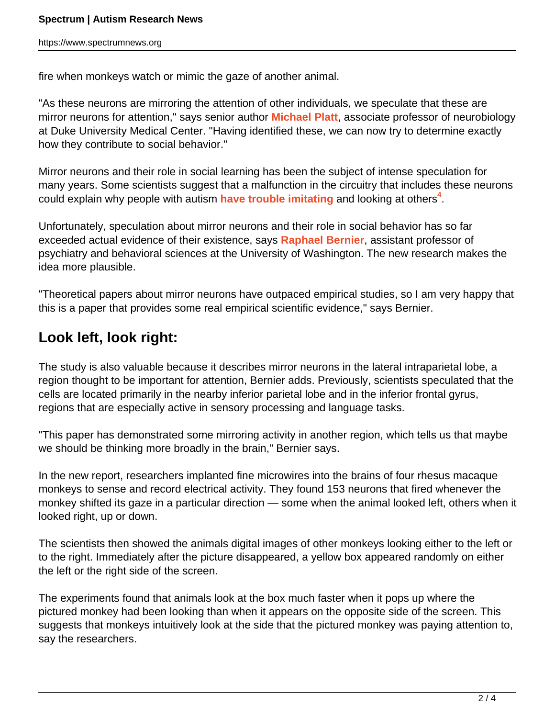fire when monkeys watch or mimic the gaze of another animal.

"As these neurons are mirroring the attention of other individuals, we speculate that these are mirror neurons for attention," says senior author **[Michael Platt](http://www.mind.duke.edu/faculty/platt/)**, associate professor of neurobiology at Duke University Medical Center. "Having identified these, we can now try to determine exactly how they contribute to social behavior."

Mirror neurons and their role in social learning has been the subject of intense speculation for many years. Some scientists suggest that a malfunction in the circuitry that includes these neurons could explain why people with autism [have trouble imitating](https://www.spectrumnews.org/news/2009/imitative-play-improves-symptoms-of-autism) and looking at others<sup>4</sup>.

Unfortunately, speculation about mirror neurons and their role in social behavior has so far exceeded actual evidence of their existence, says **[Raphael Bernier](http://sfari.org/author/?author=https://id.simonsfoundation.org/raphaelbernier)**, assistant professor of psychiatry and behavioral sciences at the University of Washington. The new research makes the idea more plausible.

"Theoretical papers about mirror neurons have outpaced empirical studies, so I am very happy that this is a paper that provides some real empirical scientific evidence," says Bernier.

### **Look left, look right:**

The study is also valuable because it describes mirror neurons in the lateral intraparietal lobe, a region thought to be important for attention, Bernier adds. Previously, scientists speculated that the cells are located primarily in the nearby inferior parietal lobe and in the inferior frontal gyrus, regions that are especially active in sensory processing and language tasks.

"This paper has demonstrated some mirroring activity in another region, which tells us that maybe we should be thinking more broadly in the brain," Bernier says.

In the new report, researchers implanted fine microwires into the brains of four rhesus macaque monkeys to sense and record electrical activity. They found 153 neurons that fired whenever the monkey shifted its gaze in a particular direction — some when the animal looked left, others when it looked right, up or down.

The scientists then showed the animals digital images of other monkeys looking either to the left or to the right. Immediately after the picture disappeared, a yellow box appeared randomly on either the left or the right side of the screen.

The experiments found that animals look at the box much faster when it pops up where the pictured monkey had been looking than when it appears on the opposite side of the screen. This suggests that monkeys intuitively look at the side that the pictured monkey was paying attention to, say the researchers.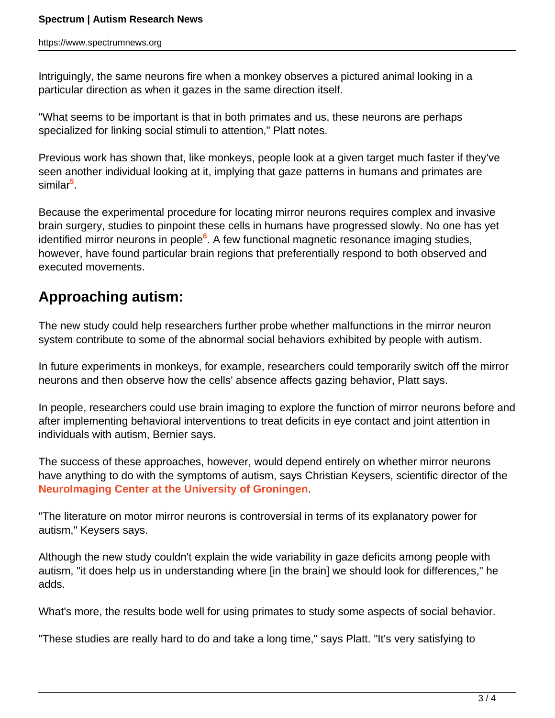Intriguingly, the same neurons fire when a monkey observes a pictured animal looking in a particular direction as when it gazes in the same direction itself.

"What seems to be important is that in both primates and us, these neurons are perhaps specialized for linking social stimuli to attention," Platt notes.

Previous work has shown that, like monkeys, people look at a given target much faster if they've seen another individual looking at it, implying that gaze patterns in humans and primates are similar**<sup>5</sup>** .

Because the experimental procedure for locating mirror neurons requires complex and invasive brain surgery, studies to pinpoint these cells in humans have progressed slowly. No one has yet identified mirror neurons in people**<sup>6</sup>** . A few functional magnetic resonance imaging studies, however, have found particular brain regions that preferentially respond to both observed and executed movements.

## **Approaching autism:**

The new study could help researchers further probe whether malfunctions in the mirror neuron system contribute to some of the abnormal social behaviors exhibited by people with autism.

In future experiments in monkeys, for example, researchers could temporarily switch off the mirror neurons and then observe how the cells' absence affects gazing behavior, Platt says.

In people, researchers could use brain imaging to explore the function of mirror neurons before and after implementing behavioral interventions to treat deficits in eye contact and joint attention in individuals with autism, Bernier says.

The success of these approaches, however, would depend entirely on whether mirror neurons have anything to do with the symptoms of autism, says Christian Keysers, scientific director of the **[NeuroImaging Center at the University of Groningen](http://www.bcn-nic.nl/)**.

"The literature on motor mirror neurons is controversial in terms of its explanatory power for autism," Keysers says.

Although the new study couldn't explain the wide variability in gaze deficits among people with autism, "it does help us in understanding where [in the brain] we should look for differences," he adds.

What's more, the results bode well for using primates to study some aspects of social behavior.

"These studies are really hard to do and take a long time," says Platt. "It's very satisfying to